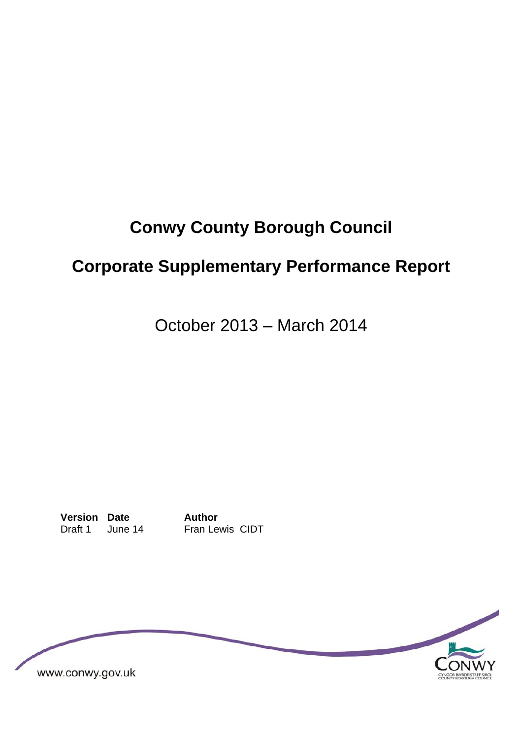# **Conwy County Borough Council**

# **Corporate Supplementary Performance Report**

October 2013 – March 2014

**Version Date Author**  Draft 1 June 14 Fran Lewis CIDT

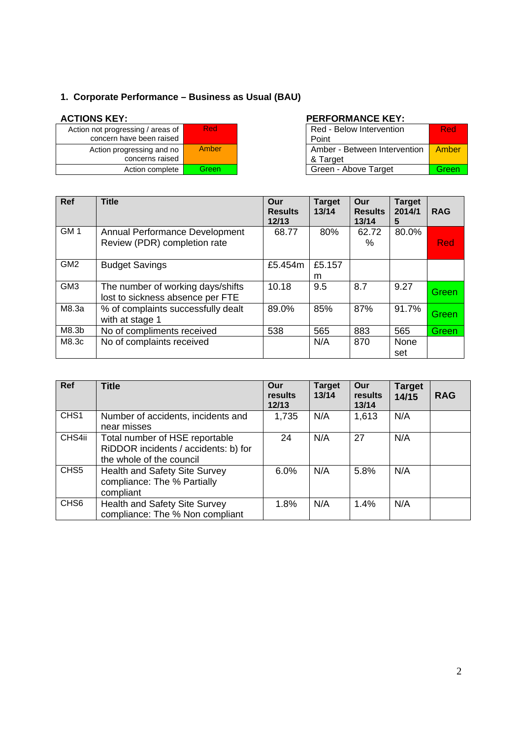## **1. Corporate Performance – Business as Usual (BAU)**

| Action not progressing / areas of<br>concern have been raised | Red   |
|---------------------------------------------------------------|-------|
| Action progressing and no<br>concerns raised                  | Amber |
| Action complete                                               | Green |

### ACTIONS KEY: **PERFORMANCE KEY:**

| essing / areas of<br>ave been raised | Red   | Red - Below Intervention<br>Point          | <b>Red</b> |
|--------------------------------------|-------|--------------------------------------------|------------|
| gressing and no<br>concerns raised   | Amber | Amber - Between Intervention  <br>& Target | Amber      |
| Action complete                      | Green | Green - Above Target                       | Green      |

| <b>Ref</b>      | <b>Title</b>                                                          | Our<br><b>Results</b><br>12/13 | <b>Target</b><br>13/14 | Our<br><b>Results</b><br>13/14 | <b>Target</b><br>2014/1<br>5 | <b>RAG</b> |
|-----------------|-----------------------------------------------------------------------|--------------------------------|------------------------|--------------------------------|------------------------------|------------|
| GM <sub>1</sub> | <b>Annual Performance Development</b><br>Review (PDR) completion rate | 68.77                          | 80%                    | 62.72<br>%                     | 80.0%                        | Red        |
| GM <sub>2</sub> | <b>Budget Savings</b>                                                 | £5.454m                        | £5.157<br>m            |                                |                              |            |
| GM <sub>3</sub> | The number of working days/shifts<br>lost to sickness absence per FTE | 10.18                          | 9.5                    | 8.7                            | 9.27                         | Green      |
| M8.3a           | % of complaints successfully dealt<br>with at stage 1                 | 89.0%                          | 85%                    | 87%                            | 91.7%                        | Green      |
| M8.3b           | No of compliments received                                            | 538                            | 565                    | 883                            | 565                          | Green      |
| M8.3c           | No of complaints received                                             |                                | N/A                    | 870                            | <b>None</b><br>set           |            |

| <b>Ref</b>       | <b>Title</b>                                                                                       | Our<br>results<br>12/13 | <b>Target</b><br>13/14 | Our<br>results<br>13/14 | <b>Target</b><br>14/15 | <b>RAG</b> |
|------------------|----------------------------------------------------------------------------------------------------|-------------------------|------------------------|-------------------------|------------------------|------------|
| CHS1             | Number of accidents, incidents and<br>near misses                                                  | 1,735                   | N/A                    | 1,613                   | N/A                    |            |
| CHS4ii           | Total number of HSE reportable<br>RiDDOR incidents / accidents: b) for<br>the whole of the council | 24                      | N/A                    | 27                      | N/A                    |            |
| CHS <sub>5</sub> | Health and Safety Site Survey<br>compliance: The % Partially<br>compliant                          | 6.0%                    | N/A                    | 5.8%                    | N/A                    |            |
| CHS <sub>6</sub> | <b>Health and Safety Site Survey</b><br>compliance: The % Non compliant                            | 1.8%                    | N/A                    | 1.4%                    | N/A                    |            |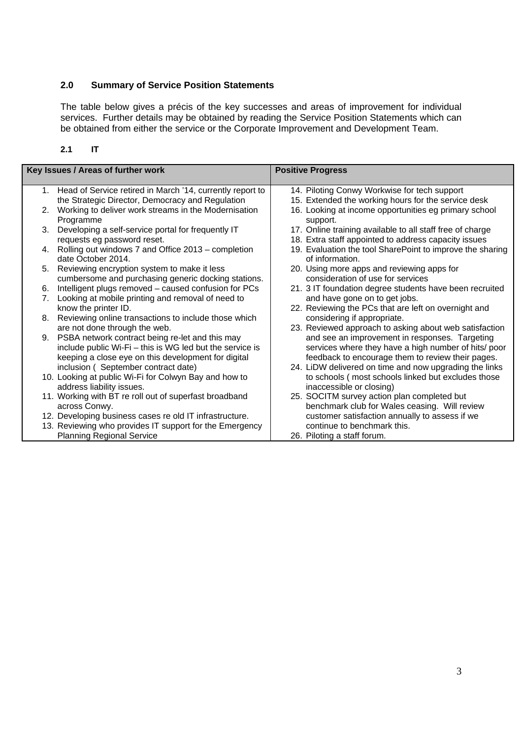#### **2.0 Summary of Service Position Statements**

The table below gives a précis of the key successes and areas of improvement for individual services. Further details may be obtained by reading the Service Position Statements which can be obtained from either the service or the Corporate Improvement and Development Team.

| ı |
|---|
|   |
|   |

|    | Key Issues / Areas of further work                                       | <b>Positive Progress</b>                                                     |
|----|--------------------------------------------------------------------------|------------------------------------------------------------------------------|
|    | 1. Head of Service retired in March '14, currently report to             | 14. Piloting Conwy Workwise for tech support                                 |
|    | the Strategic Director, Democracy and Regulation                         | 15. Extended the working hours for the service desk                          |
| 2. | Working to deliver work streams in the Modernisation<br>Programme        | 16. Looking at income opportunities eg primary school<br>support.            |
| 3. | Developing a self-service portal for frequently IT                       | 17. Online training available to all staff free of charge                    |
|    | requests eg password reset.                                              | 18. Extra staff appointed to address capacity issues                         |
| 4. | Rolling out windows 7 and Office 2013 – completion<br>date October 2014. | 19. Evaluation the tool SharePoint to improve the sharing<br>of information. |
| 5. | Reviewing encryption system to make it less                              | 20. Using more apps and reviewing apps for                                   |
|    | cumbersome and purchasing generic docking stations.                      | consideration of use for services                                            |
| 6. | Intelligent plugs removed - caused confusion for PCs                     | 21. 3 IT foundation degree students have been recruited                      |
| 7. | Looking at mobile printing and removal of need to                        | and have gone on to get jobs.                                                |
|    | know the printer ID.                                                     | 22. Reviewing the PCs that are left on overnight and                         |
| 8. | Reviewing online transactions to include those which                     | considering if appropriate.                                                  |
|    | are not done through the web.                                            | 23. Reviewed approach to asking about web satisfaction                       |
| 9. | PSBA network contract being re-let and this may                          | and see an improvement in responses. Targeting                               |
|    | include public Wi-Fi - this is WG led but the service is                 | services where they have a high number of hits/ poor                         |
|    | keeping a close eye on this development for digital                      | feedback to encourage them to review their pages.                            |
|    | inclusion ( September contract date)                                     | 24. LiDW delivered on time and now upgrading the links                       |
|    | 10. Looking at public Wi-Fi for Colwyn Bay and how to                    | to schools (most schools linked but excludes those                           |
|    | address liability issues.                                                | inaccessible or closing)                                                     |
|    | 11. Working with BT re roll out of superfast broadband                   | 25. SOCITM survey action plan completed but                                  |
|    | across Conwy.                                                            | benchmark club for Wales ceasing. Will review                                |
|    | 12. Developing business cases re old IT infrastructure.                  | customer satisfaction annually to assess if we                               |
|    | 13. Reviewing who provides IT support for the Emergency                  | continue to benchmark this.                                                  |
|    | <b>Planning Regional Service</b>                                         | 26. Piloting a staff forum.                                                  |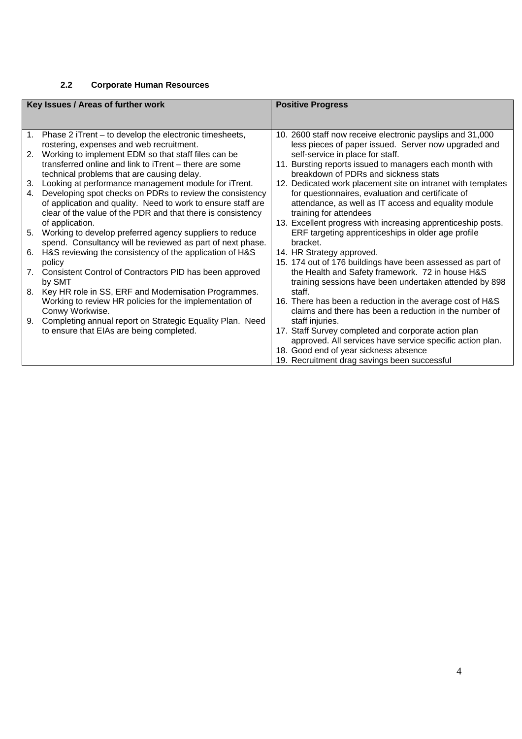#### **2.2 Corporate Human Resources**

|                                | Key Issues / Areas of further work                                                                    | <b>Positive Progress</b>                                                                                          |  |  |
|--------------------------------|-------------------------------------------------------------------------------------------------------|-------------------------------------------------------------------------------------------------------------------|--|--|
|                                |                                                                                                       |                                                                                                                   |  |  |
|                                | 1. Phase 2 iTrent - to develop the electronic timesheets,<br>rostering, expenses and web recruitment. | 10. 2600 staff now receive electronic payslips and 31,000<br>less pieces of paper issued. Server now upgraded and |  |  |
|                                | 2. Working to implement EDM so that staff files can be                                                | self-service in place for staff.                                                                                  |  |  |
|                                | transferred online and link to iTrent – there are some<br>technical problems that are causing delay.  | 11. Bursting reports issued to managers each month with<br>breakdown of PDRs and sickness stats                   |  |  |
| 3.                             | Looking at performance management module for iTrent.                                                  | 12. Dedicated work placement site on intranet with templates                                                      |  |  |
| 4.                             | Developing spot checks on PDRs to review the consistency                                              | for questionnaires, evaluation and certificate of                                                                 |  |  |
|                                | of application and quality. Need to work to ensure staff are                                          | attendance, as well as IT access and equality module                                                              |  |  |
|                                | clear of the value of the PDR and that there is consistency<br>of application.                        | training for attendees<br>13. Excellent progress with increasing apprenticeship posts.                            |  |  |
| 5.                             | Working to develop preferred agency suppliers to reduce                                               | ERF targeting apprenticeships in older age profile                                                                |  |  |
|                                | spend. Consultancy will be reviewed as part of next phase.                                            | bracket.                                                                                                          |  |  |
| 6.                             | H&S reviewing the consistency of the application of H&S                                               | 14. HR Strategy approved.                                                                                         |  |  |
|                                | policy                                                                                                | 15. 174 out of 176 buildings have been assessed as part of                                                        |  |  |
| $7_{\scriptscriptstyle{\sim}}$ | Consistent Control of Contractors PID has been approved<br>by SMT                                     | the Health and Safety framework. 72 in house H&S<br>training sessions have been undertaken attended by 898        |  |  |
|                                | 8. Key HR role in SS, ERF and Modernisation Programmes.                                               | staff.                                                                                                            |  |  |
|                                | Working to review HR policies for the implementation of                                               | 16. There has been a reduction in the average cost of H&S                                                         |  |  |
|                                | Conwy Workwise.                                                                                       | claims and there has been a reduction in the number of                                                            |  |  |
| 9.                             | Completing annual report on Strategic Equality Plan. Need                                             | staff injuries.                                                                                                   |  |  |
|                                | to ensure that EIAs are being completed.                                                              | 17. Staff Survey completed and corporate action plan                                                              |  |  |
|                                |                                                                                                       | approved. All services have service specific action plan.                                                         |  |  |
|                                |                                                                                                       | 18. Good end of year sickness absence<br>19. Recruitment drag savings been successful                             |  |  |
|                                |                                                                                                       |                                                                                                                   |  |  |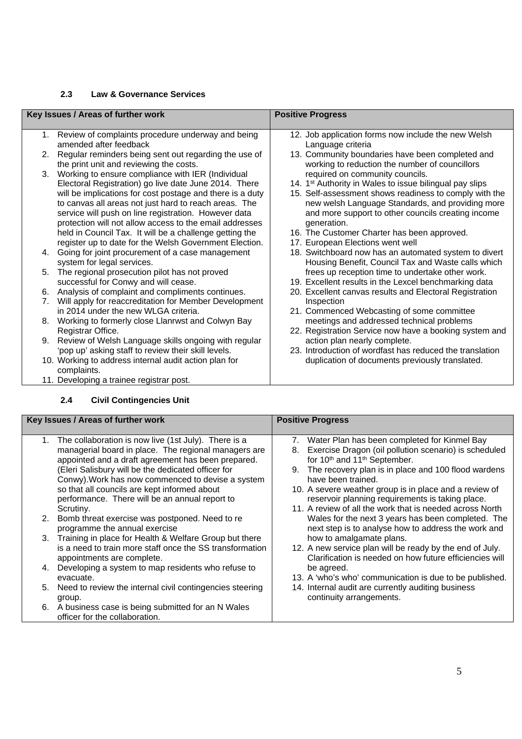#### **2.3 Law & Governance Services**

|    | Key Issues / Areas of further work                        | <b>Positive Progress</b>                                            |  |  |
|----|-----------------------------------------------------------|---------------------------------------------------------------------|--|--|
|    |                                                           |                                                                     |  |  |
| 1. | Review of complaints procedure underway and being         | 12. Job application forms now include the new Welsh                 |  |  |
|    | amended after feedback                                    | Language criteria                                                   |  |  |
| 2. | Regular reminders being sent out regarding the use of     | 13. Community boundaries have been completed and                    |  |  |
|    | the print unit and reviewing the costs.                   | working to reduction the number of councillors                      |  |  |
| 3. | Working to ensure compliance with IER (Individual         | required on community councils.                                     |  |  |
|    | Electoral Registration) go live date June 2014. There     | 14. 1 <sup>st</sup> Authority in Wales to issue bilingual pay slips |  |  |
|    | will be implications for cost postage and there is a duty | 15. Self-assessment shows readiness to comply with the              |  |  |
|    | to canvas all areas not just hard to reach areas. The     | new welsh Language Standards, and providing more                    |  |  |
|    | service will push on line registration. However data      | and more support to other councils creating income                  |  |  |
|    | protection will not allow access to the email addresses   | generation.                                                         |  |  |
|    | held in Council Tax. It will be a challenge getting the   | 16. The Customer Charter has been approved.                         |  |  |
|    | register up to date for the Welsh Government Election.    | 17. European Elections went well                                    |  |  |
| 4. | Going for joint procurement of a case management          | 18. Switchboard now has an automated system to divert               |  |  |
|    | system for legal services.                                | Housing Benefit, Council Tax and Waste calls which                  |  |  |
| 5. | The regional prosecution pilot has not proved             | frees up reception time to undertake other work.                    |  |  |
|    | successful for Conwy and will cease.                      | 19. Excellent results in the Lexcel benchmarking data               |  |  |
| 6. | Analysis of complaint and compliments continues.          | 20. Excellent canvas results and Electoral Registration             |  |  |
| 7. | Will apply for reaccreditation for Member Development     | Inspection                                                          |  |  |
|    | in 2014 under the new WLGA criteria.                      | 21. Commenced Webcasting of some committee                          |  |  |
| 8. | Working to formerly close Llanrwst and Colwyn Bay         | meetings and addressed technical problems                           |  |  |
|    | Registrar Office.                                         | 22. Registration Service now have a booking system and              |  |  |
| 9. | Review of Welsh Language skills ongoing with regular      | action plan nearly complete.                                        |  |  |
|    | 'pop up' asking staff to review their skill levels.       | 23. Introduction of wordfast has reduced the translation            |  |  |
|    | 10. Working to address internal audit action plan for     | duplication of documents previously translated.                     |  |  |
|    | complaints.                                               |                                                                     |  |  |
|    | 11. Developing a trainee registrar post.                  |                                                                     |  |  |

#### **2.4 Civil Contingencies Unit**

#### **Key Issues / Areas of further work Progress 2008**

| <u>tey issues / Aleas Ol Iultilei Wolk</u> |                                                           | <b>FUSILIVE FIUYIESS</b>                                    |
|--------------------------------------------|-----------------------------------------------------------|-------------------------------------------------------------|
|                                            |                                                           |                                                             |
| 1.                                         | The collaboration is now live (1st July). There is a      | 7. Water Plan has been completed for Kinmel Bay             |
|                                            | managerial board in place. The regional managers are      | Exercise Dragon (oil pollution scenario) is scheduled<br>8. |
|                                            | appointed and a draft agreement has been prepared.        | for 10th and 11th September.                                |
|                                            | (Eleri Salisbury will be the dedicated officer for        | The recovery plan is in place and 100 flood wardens<br>9.   |
|                                            | Conwy). Work has now commenced to devise a system         | have been trained.                                          |
|                                            | so that all councils are kept informed about              | 10. A severe weather group is in place and a review of      |
|                                            | performance. There will be an annual report to            | reservoir planning requirements is taking place.            |
|                                            | Scrutiny.                                                 | 11. A review of all the work that is needed across North    |
|                                            | 2. Bomb threat exercise was postponed. Need to re         | Wales for the next 3 years has been completed. The          |
|                                            | programme the annual exercise                             | next step is to analyse how to address the work and         |
|                                            | 3. Training in place for Health & Welfare Group but there | how to amalgamate plans.                                    |
|                                            | is a need to train more staff once the SS transformation  | 12. A new service plan will be ready by the end of July.    |
|                                            | appointments are complete.                                | Clarification is needed on how future efficiencies will     |
| 4.                                         | Developing a system to map residents who refuse to        | be agreed.                                                  |
|                                            | evacuate.                                                 | 13. A 'who's who' communication is due to be published.     |
| 5.                                         | Need to review the internal civil contingencies steering  | 14. Internal audit are currently auditing business          |
|                                            | group.                                                    | continuity arrangements.                                    |
| 6.                                         | A business case is being submitted for an N Wales         |                                                             |
|                                            | officer for the collaboration.                            |                                                             |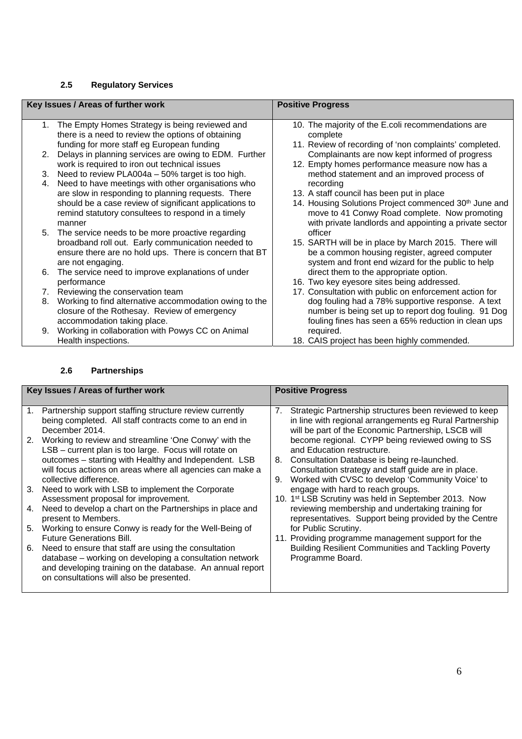#### **2.5 Regulatory Services**

|    | Key Issues / Areas of further work                     | <b>Positive Progress</b>                               |  |
|----|--------------------------------------------------------|--------------------------------------------------------|--|
|    |                                                        |                                                        |  |
|    | 1. The Empty Homes Strategy is being reviewed and      | 10. The majority of the E.coli recommendations are     |  |
|    | there is a need to review the options of obtaining     | complete                                               |  |
|    | funding for more staff eg European funding             | 11. Review of recording of 'non complaints' completed. |  |
| 2. | Delays in planning services are owing to EDM. Further  | Complainants are now kept informed of progress         |  |
|    | work is required to iron out technical issues          | 12. Empty homes performance measure now has a          |  |
|    | 3. Need to review PLA004a - 50% target is too high.    | method statement and an improved process of            |  |
| 4. | Need to have meetings with other organisations who     | recording                                              |  |
|    | are slow in responding to planning requests. There     | 13. A staff council has been put in place              |  |
|    | should be a case review of significant applications to | 14. Housing Solutions Project commenced 30th June and  |  |
|    | remind statutory consultees to respond in a timely     | move to 41 Conwy Road complete. Now promoting          |  |
|    | manner                                                 | with private landlords and appointing a private sector |  |
|    | 5. The service needs to be more proactive regarding    | officer                                                |  |
|    | broadband roll out. Early communication needed to      | 15. SARTH will be in place by March 2015. There will   |  |
|    | ensure there are no hold ups. There is concern that BT | be a common housing register, agreed computer          |  |
|    | are not engaging.                                      | system and front end wizard for the public to help     |  |
|    | 6. The service need to improve explanations of under   | direct them to the appropriate option.                 |  |
|    | performance                                            | 16. Two key eyesore sites being addressed.             |  |
|    | 7. Reviewing the conservation team                     | 17. Consultation with public on enforcement action for |  |
| 8. | Working to find alternative accommodation owing to the | dog fouling had a 78% supportive response. A text      |  |
|    | closure of the Rothesay. Review of emergency           | number is being set up to report dog fouling. 91 Dog   |  |
|    | accommodation taking place.                            |                                                        |  |
|    |                                                        | fouling fines has seen a 65% reduction in clean ups    |  |
| 9. | Working in collaboration with Powys CC on Animal       | required.                                              |  |
|    | Health inspections.                                    | 18. CAIS project has been highly commended.            |  |

#### **2.6 Partnerships**

|             | Key Issues / Areas of further work                        | <b>Positive Progress</b>         |                                                                  |
|-------------|-----------------------------------------------------------|----------------------------------|------------------------------------------------------------------|
|             |                                                           |                                  |                                                                  |
| $1_{\cdot}$ | Partnership support staffing structure review currently   | $7_{\scriptscriptstyle{\ddots}}$ | Strategic Partnership structures been reviewed to keep           |
|             | being completed. All staff contracts come to an end in    |                                  | in line with regional arrangements eg Rural Partnership          |
|             | December 2014.                                            |                                  | will be part of the Economic Partnership, LSCB will              |
| 2.          | Working to review and streamline 'One Conwy' with the     |                                  | become regional. CYPP being reviewed owing to SS                 |
|             | LSB - current plan is too large. Focus will rotate on     |                                  | and Education restructure.                                       |
|             | outcomes - starting with Healthy and Independent. LSB     |                                  | 8. Consultation Database is being re-launched.                   |
|             | will focus actions on areas where all agencies can make a |                                  | Consultation strategy and staff guide are in place.              |
|             | collective difference.                                    | 9.                               | Worked with CVSC to develop 'Community Voice' to                 |
| 3.          | Need to work with LSB to implement the Corporate          |                                  | engage with hard to reach groups.                                |
|             | Assessment proposal for improvement.                      |                                  | 10. 1 <sup>st</sup> LSB Scrutiny was held in September 2013. Now |
| 4.          | Need to develop a chart on the Partnerships in place and  |                                  | reviewing membership and undertaking training for                |
|             | present to Members.                                       |                                  | representatives. Support being provided by the Centre            |
| 5.          | Working to ensure Conwy is ready for the Well-Being of    |                                  | for Public Scrutiny.                                             |
|             | <b>Future Generations Bill.</b>                           |                                  | 11. Providing programme management support for the               |
| 6.          | Need to ensure that staff are using the consultation      |                                  | <b>Building Resilient Communities and Tackling Poverty</b>       |
|             | database - working on developing a consultation network   |                                  | Programme Board.                                                 |
|             | and developing training on the database. An annual report |                                  |                                                                  |
|             | on consultations will also be presented.                  |                                  |                                                                  |
|             |                                                           |                                  |                                                                  |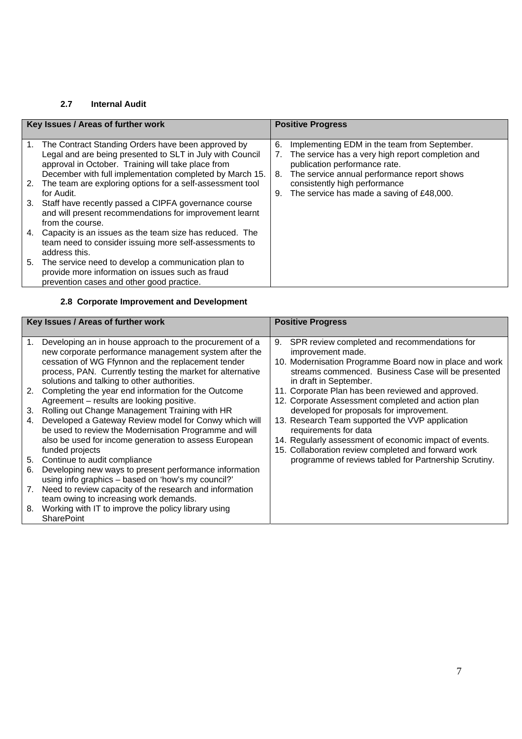#### **2.7 Internal Audit**

|    | Key Issues / Areas of further work                                                                                                                                       | <b>Positive Progress</b> |                                                                                                                                    |
|----|--------------------------------------------------------------------------------------------------------------------------------------------------------------------------|--------------------------|------------------------------------------------------------------------------------------------------------------------------------|
|    |                                                                                                                                                                          |                          |                                                                                                                                    |
|    | 1. The Contract Standing Orders have been approved by<br>Legal and are being presented to SLT in July with Council<br>approval in October. Training will take place from | 6.                       | Implementing EDM in the team from September.<br>The service has a very high report completion and<br>publication performance rate. |
|    | December with full implementation completed by March 15.<br>2. The team are exploring options for a self-assessment tool<br>for Audit.                                   | 8.<br>9.                 | The service annual performance report shows<br>consistently high performance<br>The service has made a saving of £48,000.          |
| 3. | Staff have recently passed a CIPFA governance course<br>and will present recommendations for improvement learnt<br>from the course.                                      |                          |                                                                                                                                    |
| 4. | Capacity is an issues as the team size has reduced. The<br>team need to consider issuing more self-assessments to<br>address this.                                       |                          |                                                                                                                                    |
|    | 5. The service need to develop a communication plan to<br>provide more information on issues such as fraud<br>prevention cases and other good practice.                  |                          |                                                                                                                                    |

#### **2.8 Corporate Improvement and Development**

|          | Key Issues / Areas of further work                                                                                                                                                                                                                                                  | <b>Positive Progress</b>                                                                                                                                                                                           |  |
|----------|-------------------------------------------------------------------------------------------------------------------------------------------------------------------------------------------------------------------------------------------------------------------------------------|--------------------------------------------------------------------------------------------------------------------------------------------------------------------------------------------------------------------|--|
|          | Developing an in house approach to the procurement of a<br>new corporate performance management system after the<br>cessation of WG Ffynnon and the replacement tender<br>process, PAN. Currently testing the market for alternative<br>solutions and talking to other authorities. | SPR review completed and recommendations for<br>9.<br>improvement made.<br>10. Modernisation Programme Board now in place and work<br>streams commenced. Business Case will be presented<br>in draft in September. |  |
| 2.       | Completing the year end information for the Outcome<br>Agreement - results are looking positive.                                                                                                                                                                                    | 11. Corporate Plan has been reviewed and approved.<br>12. Corporate Assessment completed and action plan                                                                                                           |  |
| 3.       | Rolling out Change Management Training with HR                                                                                                                                                                                                                                      | developed for proposals for improvement.                                                                                                                                                                           |  |
| 4.       | Developed a Gateway Review model for Conwy which will<br>be used to review the Modernisation Programme and will<br>also be used for income generation to assess European<br>funded projects                                                                                         | 13. Research Team supported the VVP application<br>requirements for data<br>14. Regularly assessment of economic impact of events.<br>15. Collaboration review completed and forward work                          |  |
| 5.<br>6. | Continue to audit compliance<br>Developing new ways to present performance information<br>using info graphics - based on 'how's my council?'                                                                                                                                        | programme of reviews tabled for Partnership Scrutiny.                                                                                                                                                              |  |
| 7.       | Need to review capacity of the research and information<br>team owing to increasing work demands.                                                                                                                                                                                   |                                                                                                                                                                                                                    |  |
| 8.       | Working with IT to improve the policy library using<br><b>SharePoint</b>                                                                                                                                                                                                            |                                                                                                                                                                                                                    |  |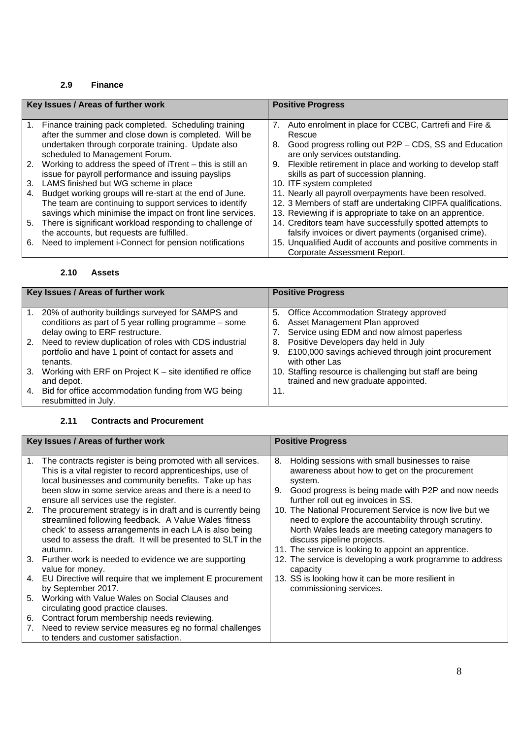#### **2.9 Finance**

| Key Issues / Areas of further work |                                                                                                                 | <b>Positive Progress</b> |                                                                                                                    |
|------------------------------------|-----------------------------------------------------------------------------------------------------------------|--------------------------|--------------------------------------------------------------------------------------------------------------------|
| 1.                                 | Finance training pack completed. Scheduling training<br>after the summer and close down is completed. Will be   | 7.                       | Auto enrolment in place for CCBC, Cartrefi and Fire &<br>Rescue                                                    |
|                                    | undertaken through corporate training. Update also<br>scheduled to Management Forum.                            | 8.                       | Good progress rolling out P2P - CDS, SS and Education<br>are only services outstanding.                            |
| 2.                                 | Working to address the speed of iTrent – this is still an<br>issue for payroll performance and issuing payslips | 9.                       | Flexible retirement in place and working to develop staff<br>skills as part of succession planning.                |
| 3.                                 | LAMS finished but WG scheme in place                                                                            |                          | 10. ITF system completed                                                                                           |
| 4.                                 | Budget working groups will re-start at the end of June.                                                         |                          | 11. Nearly all payroll overpayments have been resolved.                                                            |
|                                    | The team are continuing to support services to identify                                                         |                          | 12. 3 Members of staff are undertaking CIPFA qualifications.                                                       |
|                                    | savings which minimise the impact on front line services.                                                       |                          | 13. Reviewing if is appropriate to take on an apprentice.                                                          |
| 5.                                 | There is significant workload responding to challenge of<br>the accounts, but requests are fulfilled.           |                          | 14. Creditors team have successfully spotted attempts to<br>falsify invoices or divert payments (organised crime). |
| 6.                                 | Need to implement i-Connect for pension notifications                                                           |                          | 15. Unqualified Audit of accounts and positive comments in                                                         |
|                                    |                                                                                                                 |                          | Corporate Assessment Report.                                                                                       |

#### **2.10 Assets**

| Key Issues / Areas of further work |                                                                                                                                               | <b>Positive Progress</b> |                                                                                                                           |
|------------------------------------|-----------------------------------------------------------------------------------------------------------------------------------------------|--------------------------|---------------------------------------------------------------------------------------------------------------------------|
|                                    | 20% of authority buildings surveyed for SAMPS and<br>conditions as part of 5 year rolling programme - some<br>delay owing to ERF restructure. | 6.                       | 5. Office Accommodation Strategy approved<br>Asset Management Plan approved<br>Service using EDM and now almost paperless |
| 2.                                 | Need to review duplication of roles with CDS industrial<br>portfolio and have 1 point of contact for assets and<br>tenants.                   | 8.<br>9.                 | Positive Developers day held in July<br>£100,000 savings achieved through joint procurement<br>with other Las             |
| 3.                                 | Working with ERF on Project $K$ – site identified re office<br>and depot.                                                                     |                          | 10. Staffing resource is challenging but staff are being<br>trained and new graduate appointed.                           |
|                                    | 4. Bid for office accommodation funding from WG being<br>resubmitted in July.                                                                 | 11.                      |                                                                                                                           |

#### **2.11 Contracts and Procurement**

|             | Key Issues / Areas of further work                                                                                                                                                                                                                                                   | <b>Positive Progress</b>                                                                                                                                                                                                                                    |
|-------------|--------------------------------------------------------------------------------------------------------------------------------------------------------------------------------------------------------------------------------------------------------------------------------------|-------------------------------------------------------------------------------------------------------------------------------------------------------------------------------------------------------------------------------------------------------------|
| $1_{\cdot}$ | The contracts register is being promoted with all services.<br>This is a vital register to record apprenticeships, use of<br>local businesses and community benefits. Take up has<br>been slow in some service areas and there is a need to<br>ensure all services use the register. | Holding sessions with small businesses to raise<br>8.<br>awareness about how to get on the procurement<br>system.<br>Good progress is being made with P2P and now needs<br>9.<br>further roll out eg invoices in SS.                                        |
| 2.          | The procurement strategy is in draft and is currently being<br>streamlined following feedback. A Value Wales 'fitness<br>check' to assess arrangements in each LA is also being<br>used to assess the draft. It will be presented to SLT in the<br>autumn.                           | 10. The National Procurement Service is now live but we<br>need to explore the accountability through scrutiny.<br>North Wales leads are meeting category managers to<br>discuss pipeline projects.<br>11. The service is looking to appoint an apprentice. |
|             | 3. Further work is needed to evidence we are supporting<br>value for money.                                                                                                                                                                                                          | 12. The service is developing a work programme to address<br>capacity                                                                                                                                                                                       |
| 4.          | EU Directive will require that we implement E procurement<br>by September 2017.                                                                                                                                                                                                      | 13. SS is looking how it can be more resilient in<br>commissioning services.                                                                                                                                                                                |
| 5.          | Working with Value Wales on Social Clauses and<br>circulating good practice clauses.                                                                                                                                                                                                 |                                                                                                                                                                                                                                                             |
| 6.<br>7.    | Contract forum membership needs reviewing.<br>Need to review service measures eg no formal challenges<br>to tenders and customer satisfaction.                                                                                                                                       |                                                                                                                                                                                                                                                             |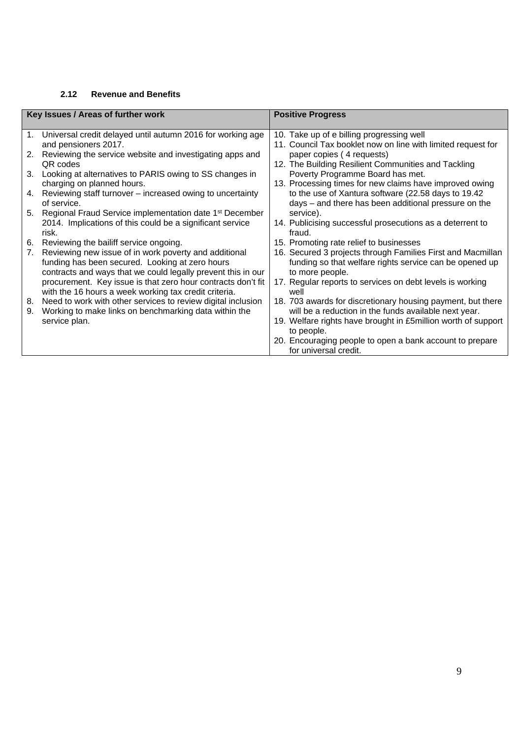#### **2.12 Revenue and Benefits**

|          | Key Issues / Areas of further work                                                                                                                                       | <b>Positive Progress</b>                                                                                                                  |
|----------|--------------------------------------------------------------------------------------------------------------------------------------------------------------------------|-------------------------------------------------------------------------------------------------------------------------------------------|
| 1.       | Universal credit delayed until autumn 2016 for working age<br>and pensioners 2017.                                                                                       | 10. Take up of e billing progressing well<br>11. Council Tax booklet now on line with limited request for                                 |
| 2.       | Reviewing the service website and investigating apps and<br>QR codes                                                                                                     | paper copies (4 requests)<br>12. The Building Resilient Communities and Tackling                                                          |
| 3.       | Looking at alternatives to PARIS owing to SS changes in<br>charging on planned hours.                                                                                    | Poverty Programme Board has met.<br>13. Processing times for new claims have improved owing                                               |
| 4.       | Reviewing staff turnover – increased owing to uncertainty<br>of service.                                                                                                 | to the use of Xantura software (22.58 days to 19.42<br>days – and there has been additional pressure on the                               |
| 5.       | Regional Fraud Service implementation date 1 <sup>st</sup> December<br>2014. Implications of this could be a significant service<br>risk.                                | service).<br>14. Publicising successful prosecutions as a deterrent to<br>fraud.                                                          |
| 6.       | Reviewing the bailiff service ongoing.                                                                                                                                   | 15. Promoting rate relief to businesses                                                                                                   |
| 7.       | Reviewing new issue of in work poverty and additional<br>funding has been secured. Looking at zero hours<br>contracts and ways that we could legally prevent this in our | 16. Secured 3 projects through Families First and Macmillan<br>funding so that welfare rights service can be opened up<br>to more people. |
|          | procurement. Key issue is that zero hour contracts don't fit<br>with the 16 hours a week working tax credit criteria.                                                    | 17. Regular reports to services on debt levels is working<br>well                                                                         |
| 8.<br>9. | Need to work with other services to review digital inclusion<br>Working to make links on benchmarking data within the                                                    | 18. 703 awards for discretionary housing payment, but there<br>will be a reduction in the funds available next year.                      |
|          | service plan.                                                                                                                                                            | 19. Welfare rights have brought in £5million worth of support<br>to people.                                                               |
|          |                                                                                                                                                                          | 20. Encouraging people to open a bank account to prepare<br>for universal credit.                                                         |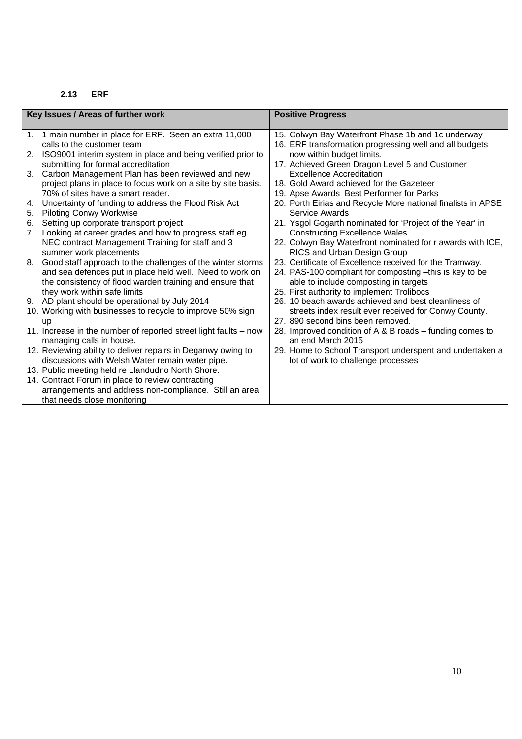#### **2.13 ERF**

| Key Issues / Areas of further work |                                                                                | <b>Positive Progress</b>                                                                           |  |
|------------------------------------|--------------------------------------------------------------------------------|----------------------------------------------------------------------------------------------------|--|
|                                    |                                                                                |                                                                                                    |  |
|                                    | 1. 1 main number in place for ERF. Seen an extra 11,000                        | 15. Colwyn Bay Waterfront Phase 1b and 1c underway                                                 |  |
|                                    | calls to the customer team                                                     | 16. ERF transformation progressing well and all budgets                                            |  |
| 2.                                 | ISO9001 interim system in place and being verified prior to                    | now within budget limits.                                                                          |  |
|                                    | submitting for formal accreditation                                            | 17. Achieved Green Dragon Level 5 and Customer                                                     |  |
| 3.                                 | Carbon Management Plan has been reviewed and new                               | <b>Excellence Accreditation</b>                                                                    |  |
|                                    | project plans in place to focus work on a site by site basis.                  | 18. Gold Award achieved for the Gazeteer                                                           |  |
|                                    | 70% of sites have a smart reader.                                              | 19. Apse Awards Best Performer for Parks                                                           |  |
| 4.                                 | Uncertainty of funding to address the Flood Risk Act                           | 20. Porth Eirias and Recycle More national finalists in APSE                                       |  |
| 5.                                 | <b>Piloting Conwy Workwise</b>                                                 | Service Awards                                                                                     |  |
| 6.                                 | Setting up corporate transport project                                         | 21. Ysgol Gogarth nominated for 'Project of the Year' in                                           |  |
| 7.                                 | Looking at career grades and how to progress staff eg                          | <b>Constructing Excellence Wales</b>                                                               |  |
|                                    | NEC contract Management Training for staff and 3                               | 22. Colwyn Bay Waterfront nominated for r awards with ICE,                                         |  |
|                                    | summer work placements                                                         | RICS and Urban Design Group                                                                        |  |
| 8.                                 | Good staff approach to the challenges of the winter storms                     | 23. Certificate of Excellence received for the Tramway.                                            |  |
|                                    | and sea defences put in place held well. Need to work on                       | 24. PAS-100 compliant for composting -this is key to be                                            |  |
|                                    | the consistency of flood warden training and ensure that                       | able to include composting in targets                                                              |  |
|                                    | they work within safe limits<br>9. AD plant should be operational by July 2014 | 25. First authority to implement Trolibocs<br>26. 10 beach awards achieved and best cleanliness of |  |
|                                    | 10. Working with businesses to recycle to improve 50% sign                     |                                                                                                    |  |
|                                    |                                                                                | streets index result ever received for Conwy County.<br>27. 890 second bins been removed.          |  |
|                                    | <b>up</b><br>11. Increase in the number of reported street light faults – now  | 28. Improved condition of A & B roads - funding comes to                                           |  |
|                                    | managing calls in house.                                                       | an end March 2015                                                                                  |  |
|                                    | 12. Reviewing ability to deliver repairs in Deganwy owing to                   | 29. Home to School Transport underspent and undertaken a                                           |  |
|                                    | discussions with Welsh Water remain water pipe.                                | lot of work to challenge processes                                                                 |  |
|                                    | 13. Public meeting held re Llandudno North Shore.                              |                                                                                                    |  |
|                                    | 14. Contract Forum in place to review contracting                              |                                                                                                    |  |
|                                    | arrangements and address non-compliance. Still an area                         |                                                                                                    |  |
|                                    | that needs close monitoring                                                    |                                                                                                    |  |
|                                    |                                                                                |                                                                                                    |  |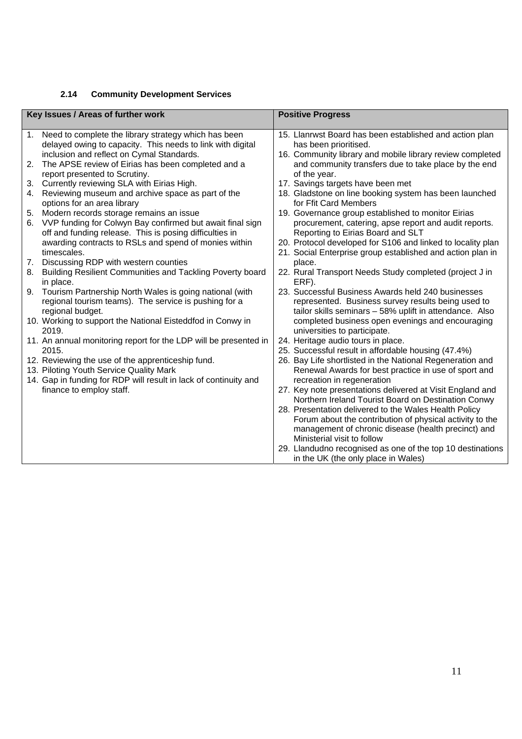#### **2.14 Community Development Services**

| Key Issues / Areas of further work |                                                                  | <b>Positive Progress</b>                                    |
|------------------------------------|------------------------------------------------------------------|-------------------------------------------------------------|
|                                    |                                                                  |                                                             |
|                                    | 1. Need to complete the library strategy which has been          | 15. Llanrwst Board has been established and action plan     |
|                                    | delayed owing to capacity. This needs to link with digital       | has been prioritised.                                       |
|                                    | inclusion and reflect on Cymal Standards.                        | 16. Community library and mobile library review completed   |
| 2.                                 | The APSE review of Eirias has been completed and a               | and community transfers due to take place by the end        |
|                                    | report presented to Scrutiny.                                    | of the year.                                                |
| 3.                                 | Currently reviewing SLA with Eirias High.                        | 17. Savings targets have been met                           |
| 4.                                 | Reviewing museum and archive space as part of the                | 18. Gladstone on line booking system has been launched      |
|                                    | options for an area library                                      | for Ffit Card Members                                       |
| 5.                                 | Modern records storage remains an issue                          | 19. Governance group established to monitor Eirias          |
|                                    | 6. VVP funding for Colwyn Bay confirmed but await final sign     | procurement, catering, apse report and audit reports.       |
|                                    | off and funding release. This is posing difficulties in          | Reporting to Eirias Board and SLT                           |
|                                    | awarding contracts to RSLs and spend of monies within            | 20. Protocol developed for S106 and linked to locality plan |
|                                    | timescales.                                                      | 21. Social Enterprise group established and action plan in  |
| 7.                                 | Discussing RDP with western counties                             | place.                                                      |
|                                    | 8. Building Resilient Communities and Tackling Poverty board     | 22. Rural Transport Needs Study completed (project J in     |
|                                    | in place.                                                        | ERF).                                                       |
|                                    | 9. Tourism Partnership North Wales is going national (with       | 23. Successful Business Awards held 240 businesses          |
|                                    | regional tourism teams). The service is pushing for a            | represented. Business survey results being used to          |
|                                    | regional budget.                                                 | tailor skills seminars - 58% uplift in attendance. Also     |
|                                    | 10. Working to support the National Eisteddfod in Conwy in       | completed business open evenings and encouraging            |
|                                    | 2019.                                                            | universities to participate.                                |
|                                    | 11. An annual monitoring report for the LDP will be presented in | 24. Heritage audio tours in place.                          |
|                                    | 2015.                                                            | 25. Successful result in affordable housing (47.4%)         |
|                                    | 12. Reviewing the use of the apprenticeship fund.                | 26. Bay Life shortlisted in the National Regeneration and   |
|                                    | 13. Piloting Youth Service Quality Mark                          | Renewal Awards for best practice in use of sport and        |
|                                    | 14. Gap in funding for RDP will result in lack of continuity and | recreation in regeneration                                  |
|                                    | finance to employ staff.                                         | 27. Key note presentations delivered at Visit England and   |
|                                    |                                                                  | Northern Ireland Tourist Board on Destination Conwy         |
|                                    |                                                                  | 28. Presentation delivered to the Wales Health Policy       |
|                                    |                                                                  | Forum about the contribution of physical activity to the    |
|                                    |                                                                  | management of chronic disease (health precinct) and         |
|                                    |                                                                  | Ministerial visit to follow                                 |
|                                    |                                                                  | 29. Llandudno recognised as one of the top 10 destinations  |
|                                    |                                                                  | in the UK (the only place in Wales)                         |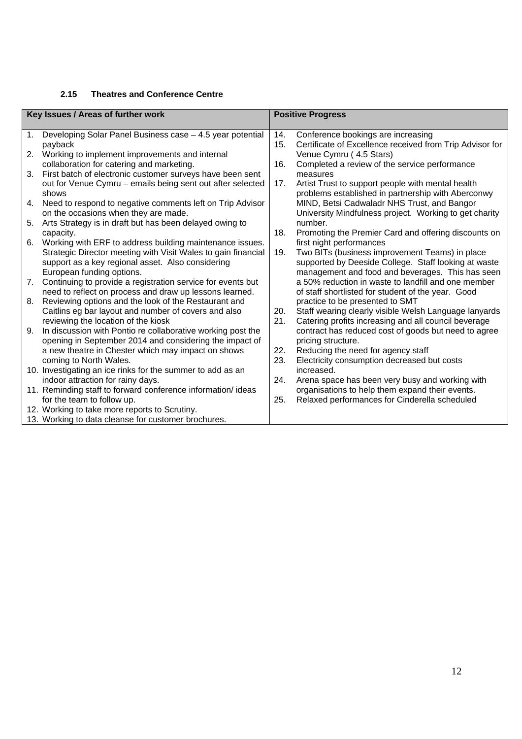#### **2.15 Theatres and Conference Centre**

| Key Issues / Areas of further work |                                                               | <b>Positive Progress</b> |                                                          |
|------------------------------------|---------------------------------------------------------------|--------------------------|----------------------------------------------------------|
|                                    |                                                               |                          |                                                          |
| 1.                                 | Developing Solar Panel Business case - 4.5 year potential     | 14.                      | Conference bookings are increasing                       |
|                                    | payback                                                       | 15.                      | Certificate of Excellence received from Trip Advisor for |
| 2.                                 | Working to implement improvements and internal                |                          | Venue Cymru (4.5 Stars)                                  |
|                                    | collaboration for catering and marketing.                     | 16.                      | Completed a review of the service performance            |
| 3.                                 | First batch of electronic customer surveys have been sent     |                          | measures                                                 |
|                                    | out for Venue Cymru - emails being sent out after selected    | 17.                      | Artist Trust to support people with mental health        |
|                                    | shows                                                         |                          | problems established in partnership with Aberconwy       |
| 4.                                 | Need to respond to negative comments left on Trip Advisor     |                          | MIND, Betsi Cadwaladr NHS Trust, and Bangor              |
|                                    | on the occasions when they are made.                          |                          | University Mindfulness project. Working to get charity   |
| 5.                                 | Arts Strategy is in draft but has been delayed owing to       |                          | number.                                                  |
|                                    | capacity.                                                     | 18.                      | Promoting the Premier Card and offering discounts on     |
| 6.                                 | Working with ERF to address building maintenance issues.      |                          | first night performances                                 |
|                                    | Strategic Director meeting with Visit Wales to gain financial | 19.                      | Two BITs (business improvement Teams) in place           |
|                                    | support as a key regional asset. Also considering             |                          | supported by Deeside College. Staff looking at waste     |
|                                    | European funding options.                                     |                          | management and food and beverages. This has seen         |
| 7.                                 | Continuing to provide a registration service for events but   |                          | a 50% reduction in waste to landfill and one member      |
|                                    | need to reflect on process and draw up lessons learned.       |                          | of staff shortlisted for student of the year. Good       |
| 8.                                 | Reviewing options and the look of the Restaurant and          |                          | practice to be presented to SMT                          |
|                                    | Caitlins eg bar layout and number of covers and also          | 20.                      | Staff wearing clearly visible Welsh Language lanyards    |
|                                    | reviewing the location of the kiosk                           | 21.                      | Catering profits increasing and all council beverage     |
| 9.                                 | In discussion with Pontio re collaborative working post the   |                          | contract has reduced cost of goods but need to agree     |
|                                    | opening in September 2014 and considering the impact of       |                          | pricing structure.                                       |
|                                    | a new theatre in Chester which may impact on shows            | 22.                      | Reducing the need for agency staff                       |
|                                    | coming to North Wales.                                        | 23.                      | Electricity consumption decreased but costs              |
|                                    | 10. Investigating an ice rinks for the summer to add as an    |                          | increased.                                               |
|                                    | indoor attraction for rainy days.                             | 24.                      | Arena space has been very busy and working with          |
|                                    | 11. Reminding staff to forward conference information/ideas   |                          | organisations to help them expand their events.          |
|                                    | for the team to follow up.                                    | 25.                      | Relaxed performances for Cinderella scheduled            |
|                                    | 12. Working to take more reports to Scrutiny.                 |                          |                                                          |
|                                    | 13. Working to data cleanse for customer brochures.           |                          |                                                          |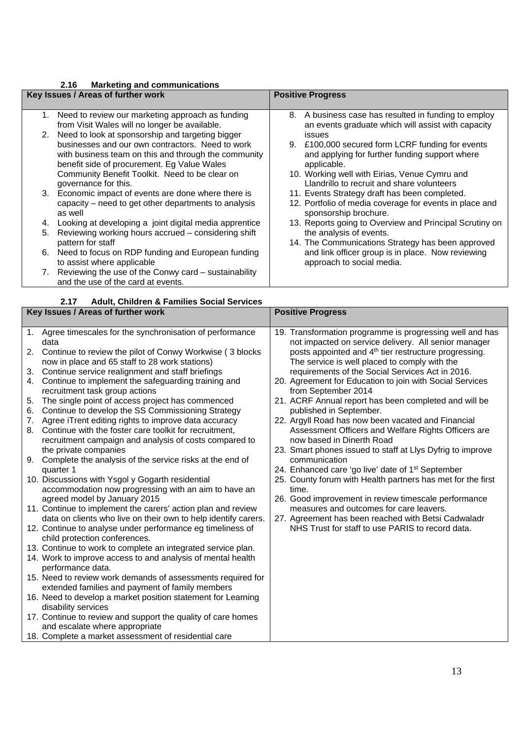#### **2.16 Marketing and communications**

|                                    | 2. I V<br><b>Marketing and Communications</b>                   |                                                                                  |  |
|------------------------------------|-----------------------------------------------------------------|----------------------------------------------------------------------------------|--|
| Key Issues / Areas of further work |                                                                 | <b>Positive Progress</b>                                                         |  |
|                                    |                                                                 |                                                                                  |  |
|                                    | 1. Need to review our marketing approach as funding             | 8. A business case has resulted in funding to employ                             |  |
|                                    | from Visit Wales will no longer be available.                   | an events graduate which will assist with capacity                               |  |
|                                    | 2. Need to look at sponsorship and targeting bigger             | issues                                                                           |  |
|                                    | businesses and our own contractors. Need to work                | 9. £100,000 secured form LCRF funding for events                                 |  |
|                                    | with business team on this and through the community            | and applying for further funding support where                                   |  |
|                                    | benefit side of procurement. Eg Value Wales                     | applicable.                                                                      |  |
|                                    | Community Benefit Toolkit. Need to be clear on                  | 10. Working well with Eirias, Venue Cymru and                                    |  |
|                                    | governance for this.                                            | Llandrillo to recruit and share volunteers                                       |  |
|                                    | 3. Economic impact of events are done where there is            | 11. Events Strategy draft has been completed.                                    |  |
|                                    | capacity – need to get other departments to analysis<br>as well | 12. Portfolio of media coverage for events in place and<br>sponsorship brochure. |  |
| 4.                                 | Looking at developing a joint digital media apprentice          | 13. Reports going to Overview and Principal Scrutiny on                          |  |
| 5.                                 | Reviewing working hours accrued – considering shift             | the analysis of events.                                                          |  |
|                                    | pattern for staff                                               | 14. The Communications Strategy has been approved                                |  |
|                                    | 6. Need to focus on RDP funding and European funding            | and link officer group is in place. Now reviewing                                |  |
|                                    | to assist where applicable                                      | approach to social media.                                                        |  |
|                                    | 7. Reviewing the use of the Conwy card - sustainability         |                                                                                  |  |
|                                    | and the use of the card at events.                              |                                                                                  |  |
|                                    |                                                                 |                                                                                  |  |
|                                    | <b>Adult, Children &amp; Families Social Services</b><br>2.17   |                                                                                  |  |

| Key Issues / Areas of further work                                                                                                                                                                                                                                                                                                                                                                                                                                                                                                                                                                                                                                                                                                                                                                                                                                                                                                                                                                                                                                                                                                                                                                                                                                                                                                                                                                                                                                                                                                                                                                               | <b>Positive Progress</b>                                                                                                                                                                                                                                                                                                                                                                                                                                                                                                                                                                                                                                                                                                                                                                                                                                                                                                                                                                                                                          |  |
|------------------------------------------------------------------------------------------------------------------------------------------------------------------------------------------------------------------------------------------------------------------------------------------------------------------------------------------------------------------------------------------------------------------------------------------------------------------------------------------------------------------------------------------------------------------------------------------------------------------------------------------------------------------------------------------------------------------------------------------------------------------------------------------------------------------------------------------------------------------------------------------------------------------------------------------------------------------------------------------------------------------------------------------------------------------------------------------------------------------------------------------------------------------------------------------------------------------------------------------------------------------------------------------------------------------------------------------------------------------------------------------------------------------------------------------------------------------------------------------------------------------------------------------------------------------------------------------------------------------|---------------------------------------------------------------------------------------------------------------------------------------------------------------------------------------------------------------------------------------------------------------------------------------------------------------------------------------------------------------------------------------------------------------------------------------------------------------------------------------------------------------------------------------------------------------------------------------------------------------------------------------------------------------------------------------------------------------------------------------------------------------------------------------------------------------------------------------------------------------------------------------------------------------------------------------------------------------------------------------------------------------------------------------------------|--|
| 1. Agree timescales for the synchronisation of performance<br>data<br>Continue to review the pilot of Conwy Workwise (3 blocks<br>2.<br>now in place and 65 staff to 28 work stations)<br>Continue service realignment and staff briefings<br>3.<br>Continue to implement the safeguarding training and<br>4.<br>recruitment task group actions<br>5.<br>The single point of access project has commenced<br>Continue to develop the SS Commissioning Strategy<br>6.<br>Agree iTrent editing rights to improve data accuracy<br>7.<br>Continue with the foster care toolkit for recruitment,<br>8.<br>recruitment campaign and analysis of costs compared to<br>the private companies<br>Complete the analysis of the service risks at the end of<br>9.<br>quarter 1<br>10. Discussions with Ysgol y Gogarth residential<br>accommodation now progressing with an aim to have an<br>agreed model by January 2015<br>11. Continue to implement the carers' action plan and review<br>data on clients who live on their own to help identify carers.<br>12. Continue to analyse under performance eg timeliness of<br>child protection conferences.<br>13. Continue to work to complete an integrated service plan.<br>14. Work to improve access to and analysis of mental health<br>performance data.<br>15. Need to review work demands of assessments required for<br>extended families and payment of family members<br>16. Need to develop a market position statement for Learning<br>disability services<br>17. Continue to review and support the quality of care homes<br>and escalate where appropriate | 19. Transformation programme is progressing well and has<br>not impacted on service delivery. All senior manager<br>posts appointed and 4 <sup>th</sup> tier restructure progressing.<br>The service is well placed to comply with the<br>requirements of the Social Services Act in 2016.<br>20. Agreement for Education to join with Social Services<br>from September 2014<br>21. ACRF Annual report has been completed and will be<br>published in September.<br>22. Argyll Road has now been vacated and Financial<br>Assessment Officers and Welfare Rights Officers are<br>now based in Dinerth Road<br>23. Smart phones issued to staff at Llys Dyfrig to improve<br>communication<br>24. Enhanced care 'go live' date of 1 <sup>st</sup> September<br>25. County forum with Health partners has met for the first<br>time.<br>26. Good improvement in review timescale performance<br>measures and outcomes for care leavers.<br>27. Agreement has been reached with Betsi Cadwaladr<br>NHS Trust for staff to use PARIS to record data. |  |
| 18. Complete a market assessment of residential care                                                                                                                                                                                                                                                                                                                                                                                                                                                                                                                                                                                                                                                                                                                                                                                                                                                                                                                                                                                                                                                                                                                                                                                                                                                                                                                                                                                                                                                                                                                                                             |                                                                                                                                                                                                                                                                                                                                                                                                                                                                                                                                                                                                                                                                                                                                                                                                                                                                                                                                                                                                                                                   |  |